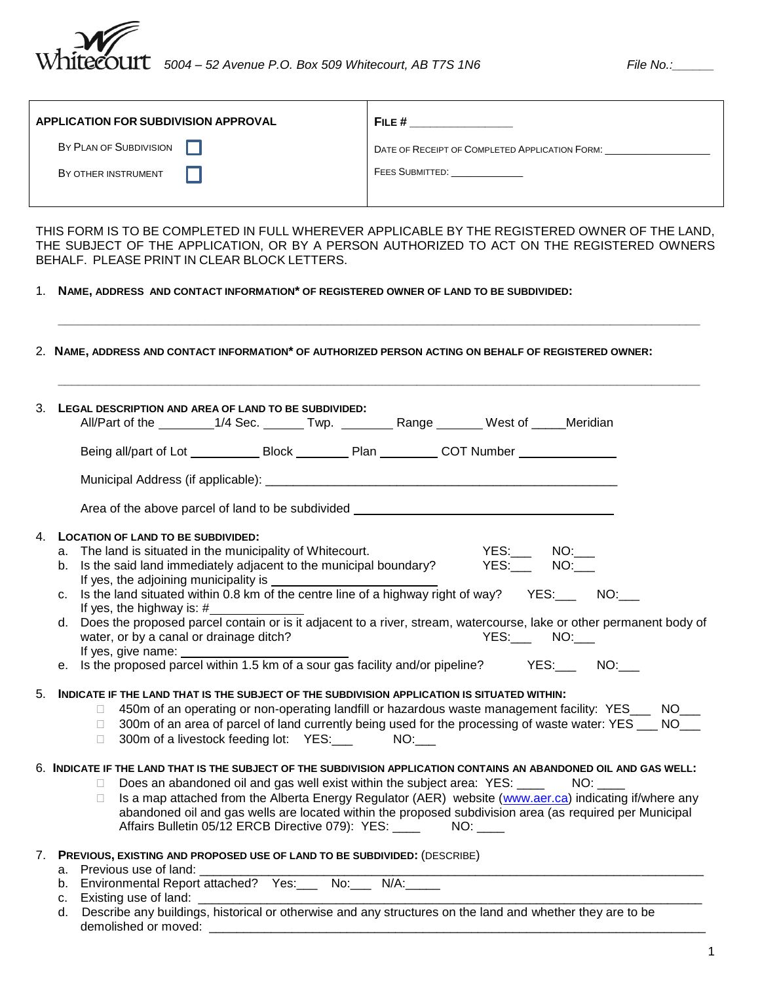

| <b>APPLICATION FOR SUBDIVISION APPROVAL</b> | FILE $#$                                       |
|---------------------------------------------|------------------------------------------------|
| BY PLAN OF SUBDIVISION                      | DATE OF RECEIPT OF COMPLETED APPLICATION FORM: |
| BY OTHER INSTRUMENT                         | <b>FEES SUBMITTED:</b>                         |
|                                             |                                                |

THIS FORM IS TO BE COMPLETED IN FULL WHEREVER APPLICABLE BY THE REGISTERED OWNER OF THE LAND, THE SUBJECT OF THE APPLICATION, OR BY A PERSON AUTHORIZED TO ACT ON THE REGISTERED OWNERS BEHALF. PLEASE PRINT IN CLEAR BLOCK LETTERS.

1. **NAME, ADDRESS AND CONTACT INFORMATION\* OF REGISTERED OWNER OF LAND TO BE SUBDIVIDED:**

| 3. LEGAL DESCRIPTION AND AREA OF LAND TO BE SUBDIVIDED:<br>All/Part of the _________1/4 Sec. ______Twp. ___________Range _______West of _____Meridian                                                                                                                                                                                        |                                                                                                                                               |  |                                                                                                                                                                                                                                           |                                                                                                                                                                                                                          |
|----------------------------------------------------------------------------------------------------------------------------------------------------------------------------------------------------------------------------------------------------------------------------------------------------------------------------------------------|-----------------------------------------------------------------------------------------------------------------------------------------------|--|-------------------------------------------------------------------------------------------------------------------------------------------------------------------------------------------------------------------------------------------|--------------------------------------------------------------------------------------------------------------------------------------------------------------------------------------------------------------------------|
|                                                                                                                                                                                                                                                                                                                                              |                                                                                                                                               |  |                                                                                                                                                                                                                                           |                                                                                                                                                                                                                          |
|                                                                                                                                                                                                                                                                                                                                              |                                                                                                                                               |  |                                                                                                                                                                                                                                           |                                                                                                                                                                                                                          |
| Area of the above parcel of land to be subdivided _______________________________                                                                                                                                                                                                                                                            |                                                                                                                                               |  |                                                                                                                                                                                                                                           |                                                                                                                                                                                                                          |
| 4. LOCATION OF LAND TO BE SUBDIVIDED:<br>a. The land is situated in the municipality of Whitecourt.<br>Is the said land immediately adjacent to the municipal boundary? YES: NO:<br>b.<br>If yes, the adjoining municipality is                                                                                                              |                                                                                                                                               |  | $\overline{\phantom{a}Y}$ $\overline{\phantom{a}Y}$ $\overline{\phantom{a}Y}$ $\overline{\phantom{a}Y}$ $\overline{\phantom{a}Y}$ $\overline{\phantom{a}Y}$ $\overline{\phantom{a}Y}$ $\overline{\phantom{a}Y}$ $\overline{\phantom{a}Y}$ |                                                                                                                                                                                                                          |
| C.<br>If yes, the highway is: $#$<br>Does the proposed parcel contain or is it adjacent to a river, stream, watercourse, lake or other permanent body of<br>d.                                                                                                                                                                               |                                                                                                                                               |  |                                                                                                                                                                                                                                           |                                                                                                                                                                                                                          |
| water, or by a canal or drainage ditch?<br>If yes, give name:<br>e. Is the proposed parcel within 1.5 km of a sour gas facility and/or pipeline? YES: NO:                                                                                                                                                                                    |                                                                                                                                               |  | <b>PES:____ NO:____</b>                                                                                                                                                                                                                   |                                                                                                                                                                                                                          |
| INDICATE IF THE LAND THAT IS THE SUBJECT OF THE SUBDIVISION APPLICATION IS SITUATED WITHIN:                                                                                                                                                                                                                                                  |                                                                                                                                               |  |                                                                                                                                                                                                                                           |                                                                                                                                                                                                                          |
| $\Box$<br>$\Box$<br>$\Box$                                                                                                                                                                                                                                                                                                                   | 300m of a livestock feeding lot: YES: NO:                                                                                                     |  |                                                                                                                                                                                                                                           | 450m of an operating or non-operating landfill or hazardous waste management facility: YES___ NO___<br>300m of an area of parcel of land currently being used for the processing of waste water: YES ___ NO___           |
| 6. INDICATE IF THE LAND THAT IS THE SUBJECT OF THE SUBDIVISION APPLICATION CONTAINS AN ABANDONED OIL AND GAS WELL:<br>П.<br>П.                                                                                                                                                                                                               | Does an abandoned oil and gas well exist within the subject area: YES: ____<br>Affairs Bulletin 05/12 ERCB Directive 079): YES: _____ NO: ___ |  |                                                                                                                                                                                                                                           | NO:<br>Is a map attached from the Alberta Energy Regulator (AER) website (www.aer.ca) indicating if/where any<br>abandoned oil and gas wells are located within the proposed subdivision area (as required per Municipal |
| 7. PREVIOUS, EXISTING AND PROPOSED USE OF LAND TO BE SUBDIVIDED: (DESCRIBE)<br>a. Previous use of land:<br>b. Environmental Report attached? Yes: __ No: __ N/A: ____<br>c. Existing use of land:<br>Describe any buildings, historical or otherwise and any structures on the land and whether they are to be<br>d.<br>demolished or moved: |                                                                                                                                               |  |                                                                                                                                                                                                                                           |                                                                                                                                                                                                                          |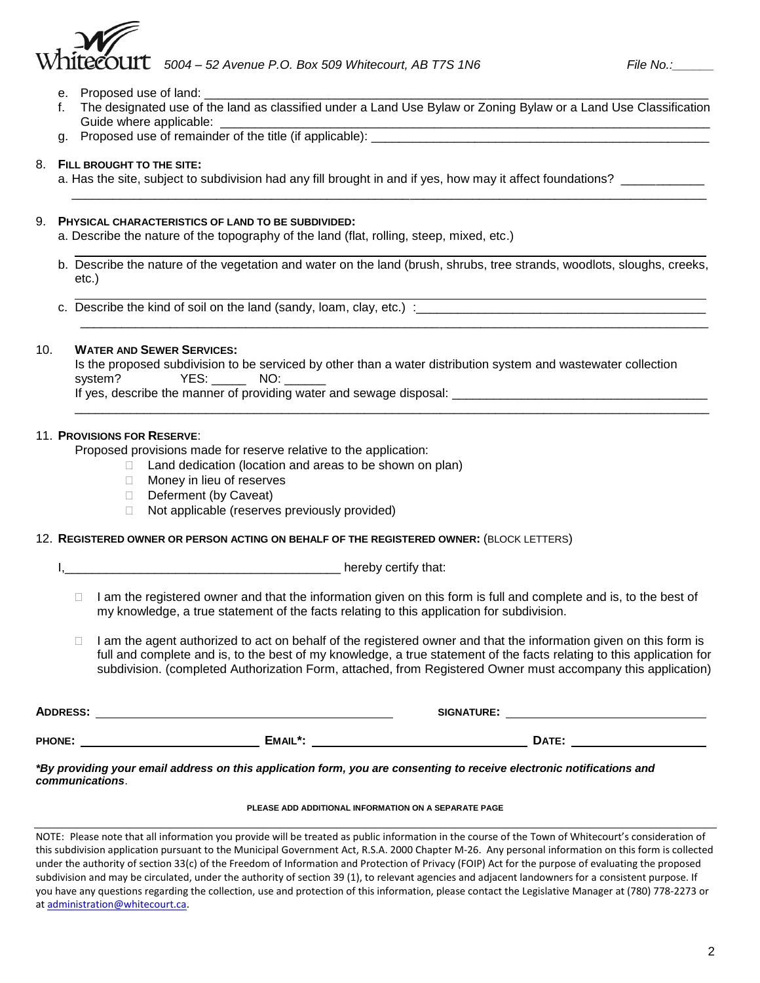# *5004 – 52 Avenue P.O. Box 509 Whitecourt, AB T7S 1N6* File No.: File No.:

- e. Proposed use of land:
- f. The designated use of the land as classified under a Land Use Bylaw or Zoning Bylaw or a Land Use Classification Guide where applicable:
- g. Proposed use of remainder of the title (if applicable): \_\_\_\_\_\_\_\_\_\_\_\_\_\_\_\_\_\_\_\_\_\_\_\_\_\_\_\_\_\_\_\_\_\_\_\_\_\_\_\_\_\_\_\_\_\_\_\_\_

### 8. **FILL BROUGHT TO THE SITE:**

a. Has the site, subject to subdivision had any fill brought in and if yes, how may it affect foundations?

#### 9. **PHYSICAL CHARACTERISTICS OF LAND TO BE SUBDIVIDED:**

a. Describe the nature of the topography of the land (flat, rolling, steep, mixed, etc.)

b. Describe the nature of the vegetation and water on the land (brush, shrubs, tree strands, woodlots, sloughs, creeks, etc.)

\_\_\_\_\_\_\_\_\_\_\_\_\_\_\_\_\_\_\_\_\_\_\_\_\_\_\_\_\_\_\_\_\_\_\_\_\_\_\_\_\_\_\_\_\_\_\_\_\_\_\_\_\_\_\_\_\_\_\_\_\_\_\_\_\_\_\_\_\_\_\_\_\_\_\_\_\_\_\_\_\_\_\_\_\_\_\_\_\_\_\_

 $\overline{\phantom{a}}$  , and the contribution of the contribution of the contribution of the contribution of the contribution of the contribution of the contribution of the contribution of the contribution of the contribution of the

c. Describe the kind of soil on the land (sandy, loam, clay, etc.) : \_\_\_\_\_\_\_\_\_\_\_

### 10. **WATER AND SEWER SERVICES:**

|                                                                     | Is the proposed subdivision to be serviced by other than a water distribution system and wastewater collection |  |
|---------------------------------------------------------------------|----------------------------------------------------------------------------------------------------------------|--|
|                                                                     | system?    YES:    NO:                                                                                         |  |
| If yes, describe the manner of providing water and sewage disposal: |                                                                                                                |  |
|                                                                     |                                                                                                                |  |

### 11. **PROVISIONS FOR RESERVE**:

Proposed provisions made for reserve relative to the application:

- $\Box$  Land dedication (location and areas to be shown on plan)
- □ Money in lieu of reserves
- Deferment (by Caveat)
- $\Box$  Not applicable (reserves previously provided)

#### 12. **REGISTERED OWNER OR PERSON ACTING ON BEHALF OF THE REGISTERED OWNER:** (BLOCK LETTERS)

I,\_\_\_\_\_\_\_\_\_\_\_\_\_\_\_\_\_\_\_\_\_\_\_\_\_\_\_\_\_\_\_\_\_\_\_\_\_\_\_\_ hereby certify that:

- $\Box$  I am the registered owner and that the information given on this form is full and complete and is, to the best of my knowledge, a true statement of the facts relating to this application for subdivision.
- I am the agent authorized to act on behalf of the registered owner and that the information given on this form is full and complete and is, to the best of my knowledge, a true statement of the facts relating to this application for subdivision. (completed Authorization Form, attached, from Registered Owner must accompany this application)

| <b>ADDRESS:</b> |         | <b>SIGNATURE:</b> |  |
|-----------------|---------|-------------------|--|
| <b>PHONE:</b>   | EMAIL*: | DATE:             |  |

*\*By providing your email address on this application form, you are consenting to receive electronic notifications and communications*.

#### **PLEASE ADD ADDITIONAL INFORMATION ON A SEPARATE PAGE**

NOTE: Please note that all information you provide will be treated as public information in the course of the Town of Whitecourt's consideration of this subdivision application pursuant to the Municipal Government Act, R.S.A. 2000 Chapter M-26. Any personal information on this form is collected under the authority of section 33(c) of the Freedom of Information and Protection of Privacy (FOIP) Act for the purpose of evaluating the proposed subdivision and may be circulated, under the authority of section 39 (1), to relevant agencies and adjacent landowners for a consistent purpose. If you have any questions regarding the collection, use and protection of this information, please contact the Legislative Manager at (780) 778-2273 or a[t administration@whitecourt.ca.](mailto:administration@whitecourt.ca)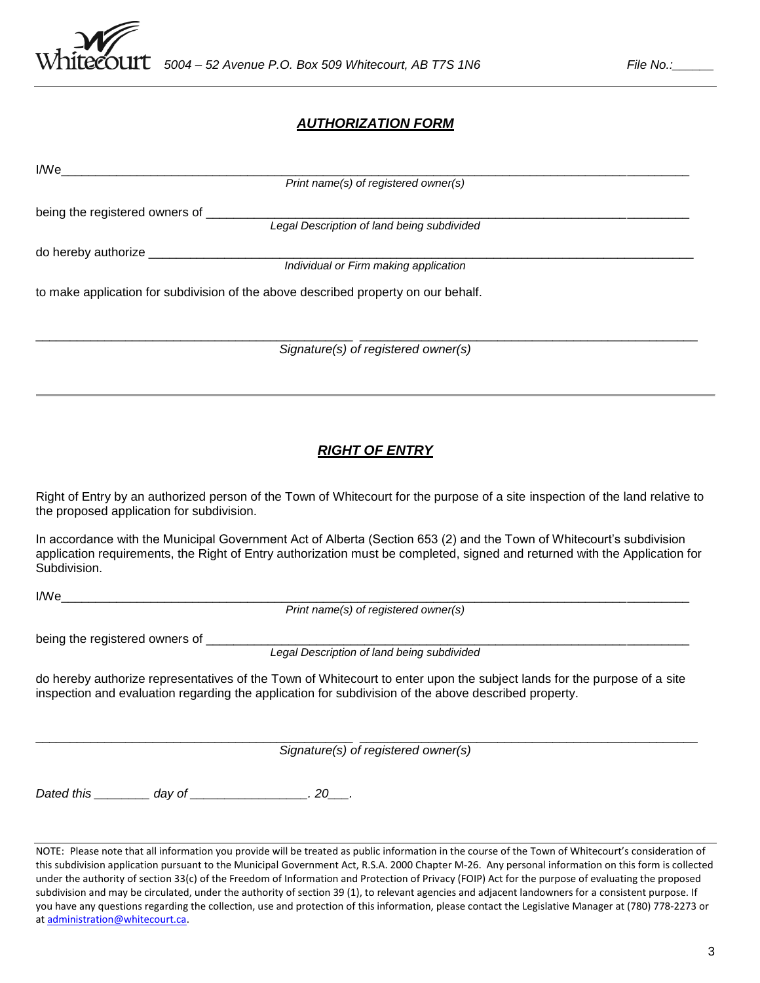

## *AUTHORIZATION FORM*

| Print name(s) of registered owner(s)                                                                                                                                                                                                                                                                       |
|------------------------------------------------------------------------------------------------------------------------------------------------------------------------------------------------------------------------------------------------------------------------------------------------------------|
|                                                                                                                                                                                                                                                                                                            |
|                                                                                                                                                                                                                                                                                                            |
|                                                                                                                                                                                                                                                                                                            |
|                                                                                                                                                                                                                                                                                                            |
|                                                                                                                                                                                                                                                                                                            |
| to make application for subdivision of the above described property on our behalf.                                                                                                                                                                                                                         |
| Signature(s) of registered owner(s)                                                                                                                                                                                                                                                                        |
|                                                                                                                                                                                                                                                                                                            |
| <b>RIGHT OF ENTRY</b>                                                                                                                                                                                                                                                                                      |
| Right of Entry by an authorized person of the Town of Whitecourt for the purpose of a site inspection of the land relative to<br>the proposed application for subdivision.                                                                                                                                 |
| In accordance with the Municipal Government Act of Alberta (Section 653 (2) and the Town of Whitecourt's subdivision<br>application requirements, the Right of Entry authorization must be completed, signed and returned with the Application for<br>Subdivision.                                         |
|                                                                                                                                                                                                                                                                                                            |
|                                                                                                                                                                                                                                                                                                            |
|                                                                                                                                                                                                                                                                                                            |
|                                                                                                                                                                                                                                                                                                            |
| do hereby authorize representatives of the Town of Whitecourt to enter upon the subject lands for the purpose of a site<br>inspection and evaluation regarding the application for subdivision of the above described property.                                                                            |
| Signature(s) of registered owner(s)                                                                                                                                                                                                                                                                        |
| Dated this __________ day of ___________________. 20___.                                                                                                                                                                                                                                                   |
| NOTE: Please note that all information you provide will be treated as public information in the course of the Town of Whitecourt's consideration of<br>this subdivision application pursuant to the Municipal Government Act, R.S.A. 2000 Chapter M-26. Any personal information on this form is collected |

under the authority of section 33(c) of the Freedom of Information and Protection of Privacy (FOIP) Act for the purpose of evaluating the proposed subdivision and may be circulated, under the authority of section 39 (1), to relevant agencies and adjacent landowners for a consistent purpose. If you have any questions regarding the collection, use and protection of this information, please contact the Legislative Manager at (780) 778-2273 or a[t administration@whitecourt.ca.](mailto:administration@whitecourt.ca)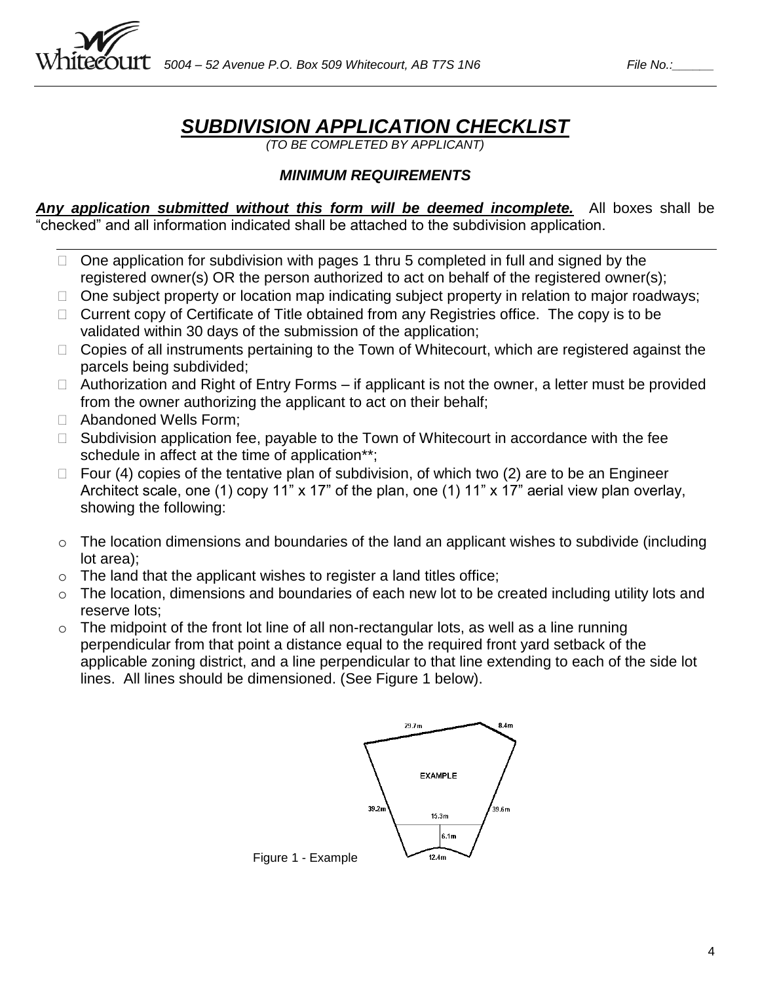

## *SUBDIVISION APPLICATION CHECKLIST*

*(TO BE COMPLETED BY APPLICANT)*

## *MINIMUM REQUIREMENTS*

*Any application submitted without this form will be deemed incomplete.* All boxes shall be "checked" and all information indicated shall be attached to the subdivision application.

- $\Box$  One application for subdivision with pages 1 thru 5 completed in full and signed by the registered owner(s) OR the person authorized to act on behalf of the registered owner(s);
- □ One subject property or location map indicating subject property in relation to major roadways;
- $\Box$  Current copy of Certificate of Title obtained from any Registries office. The copy is to be validated within 30 days of the submission of the application;
- $\Box$  Copies of all instruments pertaining to the Town of Whitecourt, which are registered against the parcels being subdivided;
- $\Box$  Authorization and Right of Entry Forms if applicant is not the owner, a letter must be provided from the owner authorizing the applicant to act on their behalf;
- □ Abandoned Wells Form;
- $\Box$  Subdivision application fee, payable to the Town of Whitecourt in accordance with the fee schedule in affect at the time of application\*\*;
- $\Box$  Four (4) copies of the tentative plan of subdivision, of which two (2) are to be an Engineer Architect scale, one (1) copy 11" x 17" of the plan, one (1) 11" x 17" aerial view plan overlay, showing the following:
- o The location dimensions and boundaries of the land an applicant wishes to subdivide (including lot area);
- $\circ$  The land that the applicant wishes to register a land titles office;
- o The location, dimensions and boundaries of each new lot to be created including utility lots and reserve lots;
- $\circ$  The midpoint of the front lot line of all non-rectangular lots, as well as a line running perpendicular from that point a distance equal to the required front yard setback of the applicable zoning district, and a line perpendicular to that line extending to each of the side lot lines. All lines should be dimensioned. (See Figure 1 below).

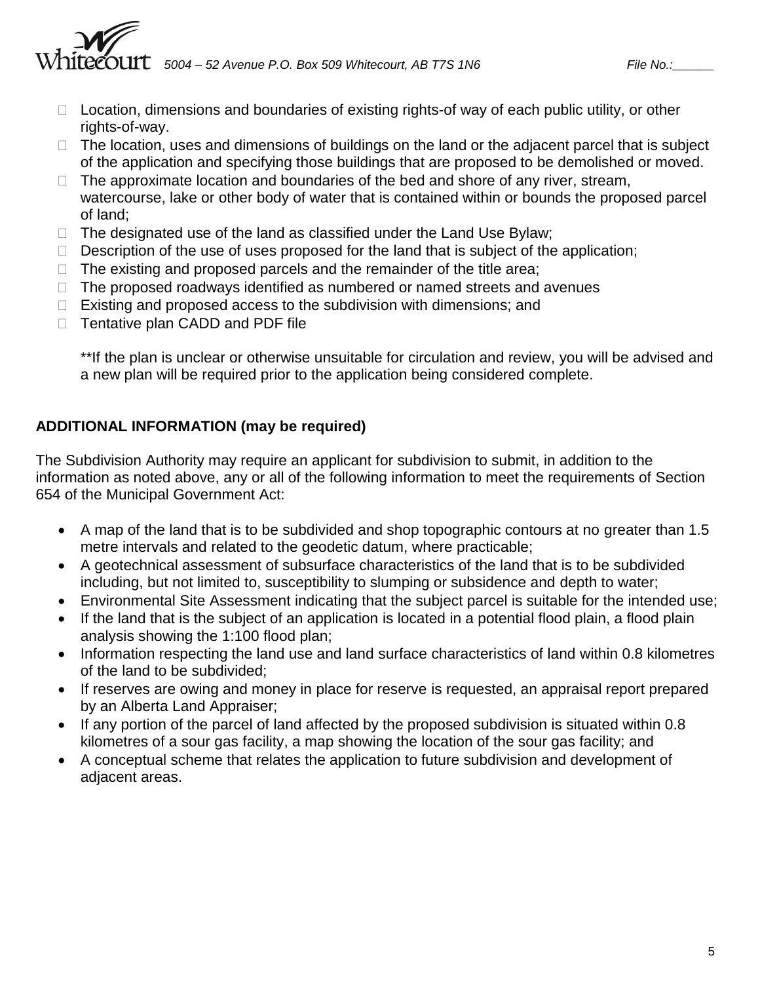$\mathcal{E}\text{OUTC}$  5004 – 52 Avenue P.O. Box 509 Whitecourt, AB T7S 1N6  $\qquad \qquad$  File No.:\_\_

- $\Box$  Location, dimensions and boundaries of existing rights-of way of each public utility, or other rights-of-way.
- $\Box$  The location, uses and dimensions of buildings on the land or the adjacent parcel that is subject of the application and specifying those buildings that are proposed to be demolished or moved.
- $\Box$  The approximate location and boundaries of the bed and shore of any river, stream, watercourse, lake or other body of water that is contained within or bounds the proposed parcel of land;
- $\Box$  The designated use of the land as classified under the Land Use Bylaw;
- $\Box$  Description of the use of uses proposed for the land that is subject of the application;
- $\Box$  The existing and proposed parcels and the remainder of the title area;
- $\Box$  The proposed roadways identified as numbered or named streets and avenues
- $\Box$  Existing and proposed access to the subdivision with dimensions; and
- □ Tentative plan CADD and PDF file

\*\*If the plan is unclear or otherwise unsuitable for circulation and review, you will be advised and a new plan will be required prior to the application being considered complete.

## **ADDITIONAL INFORMATION (may be required)**

The Subdivision Authority may require an applicant for subdivision to submit, in addition to the information as noted above, any or all of the following information to meet the requirements of Section 654 of the Municipal Government Act:

- A map of the land that is to be subdivided and shop topographic contours at no greater than 1.5 metre intervals and related to the geodetic datum, where practicable;
- A geotechnical assessment of subsurface characteristics of the land that is to be subdivided including, but not limited to, susceptibility to slumping or subsidence and depth to water;
- Environmental Site Assessment indicating that the subject parcel is suitable for the intended use;
- If the land that is the subject of an application is located in a potential flood plain, a flood plain analysis showing the 1:100 flood plan;
- Information respecting the land use and land surface characteristics of land within 0.8 kilometres of the land to be subdivided;
- If reserves are owing and money in place for reserve is requested, an appraisal report prepared by an Alberta Land Appraiser;
- If any portion of the parcel of land affected by the proposed subdivision is situated within 0.8 kilometres of a sour gas facility, a map showing the location of the sour gas facility; and
- A conceptual scheme that relates the application to future subdivision and development of adjacent areas.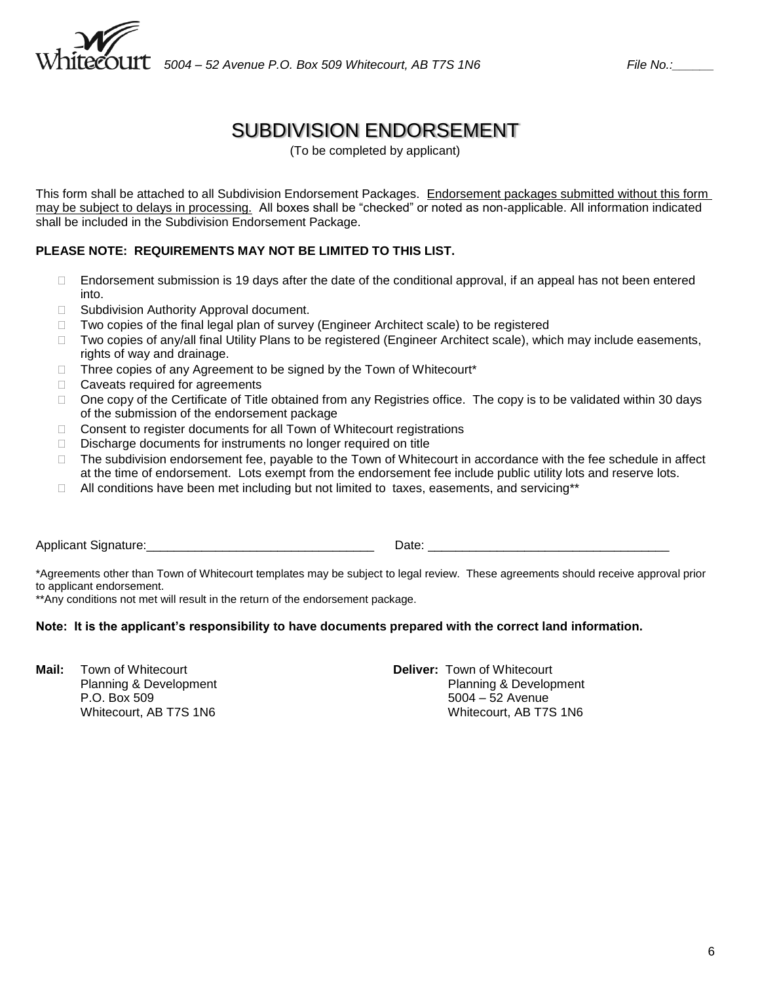

## SUBDIVISION ENDORSEMENT

(To be completed by applicant)

This form shall be attached to all Subdivision Endorsement Packages. Endorsement packages submitted without this form may be subject to delays in processing. All boxes shall be "checked" or noted as non-applicable. All information indicated shall be included in the Subdivision Endorsement Package.

## **PLEASE NOTE: REQUIREMENTS MAY NOT BE LIMITED TO THIS LIST.**

- □ Endorsement submission is 19 days after the date of the conditional approval, if an appeal has not been entered into.
- □ Subdivision Authority Approval document.
- □ Two copies of the final legal plan of survey (Engineer Architect scale) to be registered
- □ Two copies of any/all final Utility Plans to be registered (Engineer Architect scale), which may include easements, rights of way and drainage.
- $\Box$  Three copies of any Agreement to be signed by the Town of Whitecourt\*
- □ Caveats required for agreements
- □ One copy of the Certificate of Title obtained from any Registries office. The copy is to be validated within 30 days of the submission of the endorsement package
- □ Consent to register documents for all Town of Whitecourt registrations
- Discharge documents for instruments no longer required on title
- $\Box$  The subdivision endorsement fee, payable to the Town of Whitecourt in accordance with the fee schedule in affect at the time of endorsement. Lots exempt from the endorsement fee include public utility lots and reserve lots.
- $\Box$  All conditions have been met including but not limited to taxes, easements, and servicing\*\*

Applicant Signature:\_\_\_\_\_\_\_\_\_\_\_\_\_\_\_\_\_\_\_\_\_\_\_\_\_\_\_\_\_\_\_\_\_ Date: \_\_\_\_\_\_\_\_\_\_\_\_\_\_\_\_\_\_\_\_\_\_\_\_\_\_\_\_\_\_\_\_\_\_\_

\*Agreements other than Town of Whitecourt templates may be subject to legal review. These agreements should receive approval prior to applicant endorsement.

\*\*Any conditions not met will result in the return of the endorsement package.

#### **Note: It is the applicant's responsibility to have documents prepared with the correct land information.**

**Mail:** Town of Whitecourt **Deliver:** Town of Whitecourt Whitecourt, AB T7S 1N6

Planning & Development Planning & Development P.O. Box 509 5004 – 52 Avenue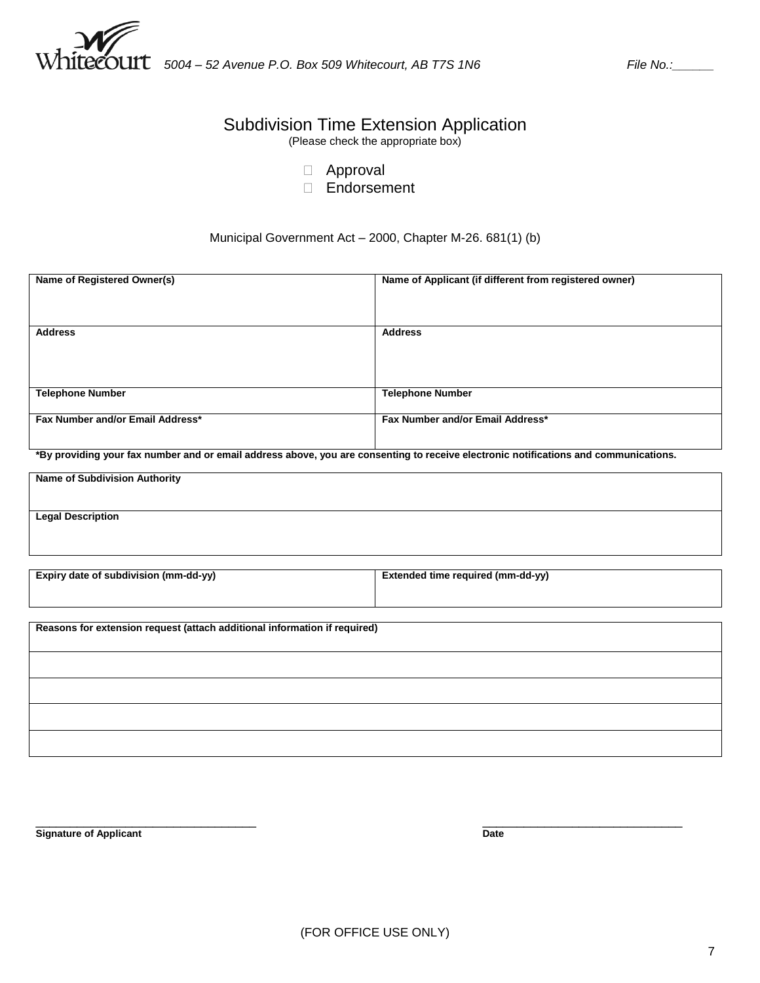

## Subdivision Time Extension Application

(Please check the appropriate box)

- Approval
- Endorsement

### Municipal Government Act – 2000, Chapter M-26. 681(1) (b)

| Name of Registered Owner(s)                                                                                                          | Name of Applicant (if different from registered owner) |
|--------------------------------------------------------------------------------------------------------------------------------------|--------------------------------------------------------|
| <b>Address</b>                                                                                                                       | <b>Address</b>                                         |
|                                                                                                                                      |                                                        |
| <b>Telephone Number</b>                                                                                                              | <b>Telephone Number</b>                                |
|                                                                                                                                      |                                                        |
| Fax Number and/or Email Address*                                                                                                     | Fax Number and/or Email Address*                       |
| *By providing your fax number and or email address above, you are consenting to receive electronic notifications and communications. |                                                        |
| <b>Name of Subdivision Authority</b>                                                                                                 |                                                        |
| <b>Legal Description</b>                                                                                                             |                                                        |
|                                                                                                                                      |                                                        |
|                                                                                                                                      |                                                        |
| Expiry date of subdivision (mm-dd-yy)                                                                                                | Extended time required (mm-dd-yy)                      |
|                                                                                                                                      |                                                        |
| Reasons for extension request (attach additional information if required)                                                            |                                                        |
|                                                                                                                                      |                                                        |
|                                                                                                                                      |                                                        |
|                                                                                                                                      |                                                        |

 $\_$  , and the set of the set of the set of the set of the set of the set of the set of the set of the set of the set of the set of the set of the set of the set of the set of the set of the set of the set of the set of th **Signature of Applicant Date**